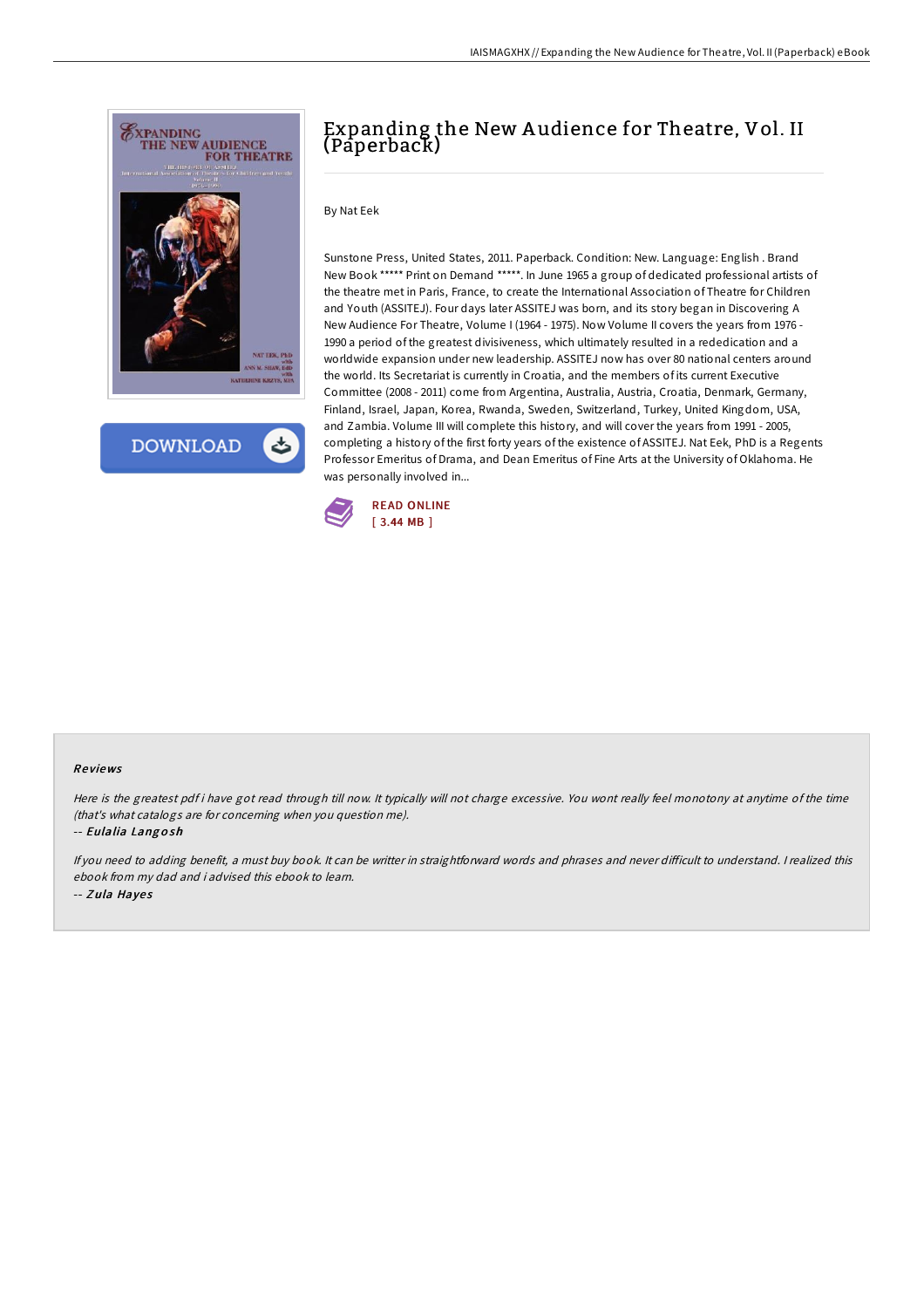

**DOWNLOAD** 

## Expanding the New A udience for Theatre, Vol. II (Paperback)

## By Nat Eek

Sunstone Press, United States, 2011. Paperback. Condition: New. Language: English . Brand New Book \*\*\*\*\* Print on Demand \*\*\*\*\*. In June 1965 a group of dedicated professional artists of the theatre met in Paris, France, to create the International Association of Theatre for Children and Youth (ASSITEJ). Four days later ASSITEJ was born, and its story began in Discovering A New Audience For Theatre, Volume I (1964 - 1975). Now Volume II covers the years from 1976 - 1990 a period of the greatest divisiveness, which ultimately resulted in a rededication and a worldwide expansion under new leadership. ASSITEJ now has over 80 national centers around the world. Its Secretariat is currently in Croatia, and the members of its current Executive Committee (2008 - 2011) come from Argentina, Australia, Austria, Croatia, Denmark, Germany, Finland, Israel, Japan, Korea, Rwanda, Sweden, Switzerland, Turkey, United Kingdom, USA, and Zambia. Volume III will complete this history, and will cover the years from 1991 - 2005, completing a history of the first forty years of the existence of ASSITEJ. Nat Eek, PhD is a Regents Professor Emeritus of Drama, and Dean Emeritus of Fine Arts at the University of Oklahoma. He was personally involved in...



## Re views

Here is the greatest pdf i have got read through till now. It typically will not charge excessive. You wont really feel monotony at anytime of the time (that's what catalogs are for concerning when you question me).

-- Eulalia Lang <sup>o</sup> sh

If you need to adding benefit, a must buy book. It can be writter in straightforward words and phrases and never difficult to understand. I realized this ebook from my dad and i advised this ebook to learn. -- Zula Hayes